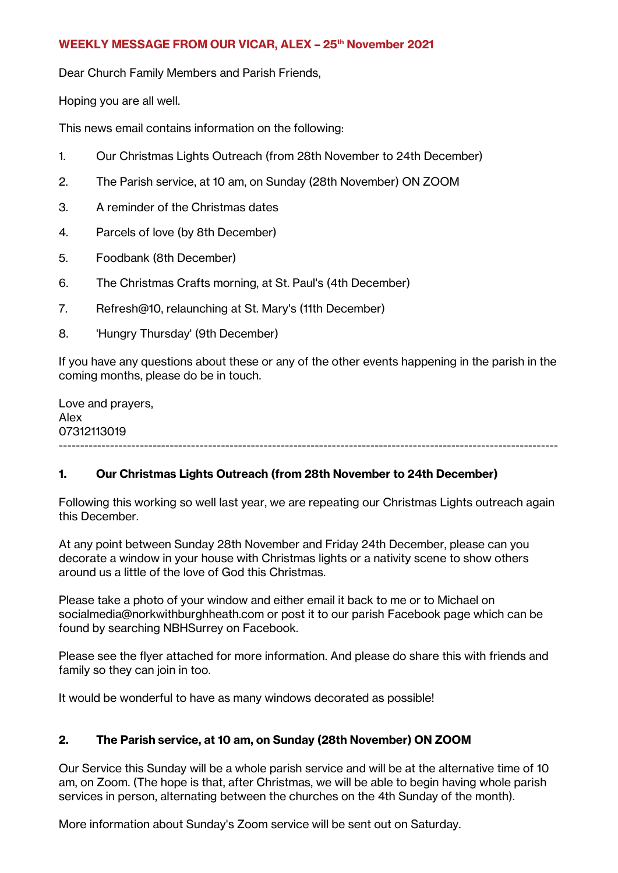### **WEEKLY MESSAGE FROM OUR VICAR, ALEX – 25th November 2021**

Dear Church Family Members and Parish Friends,

Hoping you are all well.

This news email contains information on the following:

- 1. Our Christmas Lights Outreach (from 28th November to 24th December)
- 2. The Parish service, at 10 am, on Sunday (28th November) ON ZOOM
- 3. A reminder of the Christmas dates
- 4. Parcels of love (by 8th December)
- 5. Foodbank (8th December)
- 6. The Christmas Crafts morning, at St. Paul's (4th December)
- 7. Refresh@10, relaunching at St. Mary's (11th December)
- 8. 'Hungry Thursday' (9th December)

If you have any questions about these or any of the other events happening in the parish in the coming months, please do be in touch.

Love and prayers, Alex 07312113019 ---------------------------------------------------------------------------------------------------------------------

# **1. Our Christmas Lights Outreach (from 28th November to 24th December)**

Following this working so well last year, we are repeating our Christmas Lights outreach again this December.

At any point between Sunday 28th November and Friday 24th December, please can you decorate a window in your house with Christmas lights or a nativity scene to show others around us a little of the love of God this Christmas.

Please take a photo of your window and either email it back to me or to Michael on socialmedia@norkwithburghheath.com or post it to our parish Facebook page which can be found by searching NBHSurrey on Facebook.

Please see the flyer attached for more information. And please do share this with friends and family so they can join in too.

It would be wonderful to have as many windows decorated as possible!

# **2. The Parish service, at 10 am, on Sunday (28th November) ON ZOOM**

Our Service this Sunday will be a whole parish service and will be at the alternative time of 10 am, on Zoom. (The hope is that, after Christmas, we will be able to begin having whole parish services in person, alternating between the churches on the 4th Sunday of the month).

More information about Sunday's Zoom service will be sent out on Saturday.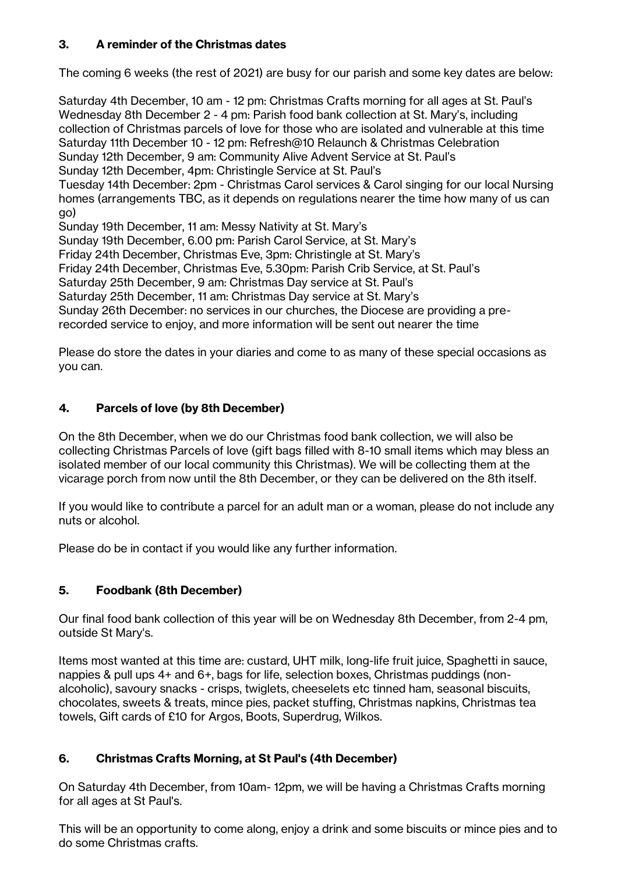# **3. A reminder of the Christmas dates**

The coming 6 weeks (the rest of 2021) are busy for our parish and some key dates are below:

Saturday 4th December, 10 am - 12 pm: Christmas Crafts morning for all ages at St. Paul's Wednesday 8th December 2 - 4 pm: Parish food bank collection at St. Mary's, including collection of Christmas parcels of love for those who are isolated and vulnerable at this time Saturday 11th December 10 - 12 pm: Refresh@10 Relaunch & Christmas Celebration Sunday 12th December, 9 am: Community Alive Advent Service at St. Paul's Sunday 12th December, 4pm: Christingle Service at St. Paul's Tuesday 14th December: 2pm - Christmas Carol services & Carol singing for our local Nursing homes (arrangements TBC, as it depends on regulations nearer the time how many of us can go) Sunday 19th December, 11 am: Messy Nativity at St. Mary's Sunday 19th December, 6.00 pm: Parish Carol Service, at St. Mary's Friday 24th December, Christmas Eve, 3pm: Christingle at St. Mary's Friday 24th December, Christmas Eve, 5.30pm: Parish Crib Service, at St. Paul's Saturday 25th December, 9 am: Christmas Day service at St. Paul's Saturday 25th December, 11 am: Christmas Day service at St. Mary's Sunday 26th December: no services in our churches, the Diocese are providing a prerecorded service to enjoy, and more information will be sent out nearer the time

Please do store the dates in your diaries and come to as many of these special occasions as you can.

### **4. Parcels of love (by 8th December)**

On the 8th December, when we do our Christmas food bank collection, we will also be collecting Christmas Parcels of love (gift bags filled with 8-10 small items which may bless an isolated member of our local community this Christmas). We will be collecting them at the vicarage porch from now until the 8th December, or they can be delivered on the 8th itself.

If you would like to contribute a parcel for an adult man or a woman, please do not include any nuts or alcohol.

Please do be in contact if you would like any further information.

### **5. Foodbank (8th December)**

Our final food bank collection of this year will be on Wednesday 8th December, from 2-4 pm, outside St Mary's.

Items most wanted at this time are: custard, UHT milk, long-life fruit juice, Spaghetti in sauce, nappies & pull ups 4+ and 6+, bags for life, selection boxes, Christmas puddings (nonalcoholic), savoury snacks - crisps, twiglets, cheeselets etc tinned ham, seasonal biscuits, chocolates, sweets & treats, mince pies, packet stuffing, Christmas napkins, Christmas tea towels, Gift cards of £10 for Argos, Boots, Superdrug, Wilkos.

# **6. Christmas Crafts Morning, at St Paul's (4th December)**

On Saturday 4th December, from 10am- 12pm, we will be having a Christmas Crafts morning for all ages at St Paul's.

This will be an opportunity to come along, enjoy a drink and some biscuits or mince pies and to do some Christmas crafts.